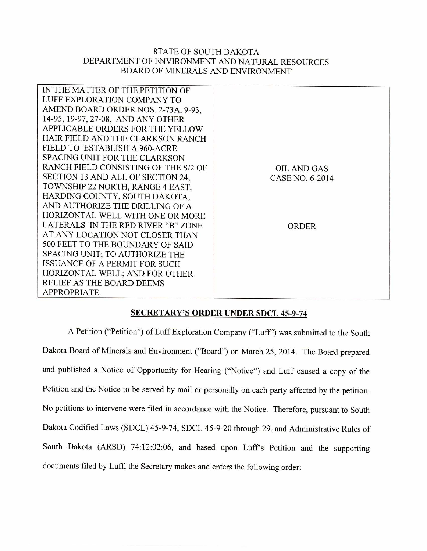## 8TATE OF SOUTH DAKOTA DEPARTMENT OF ENVIRONMENT AND NATURAL RESOURCES BOARD OF MINERALS AND ENVIRONMENT

| IN THE MATTER OF THE PETITION OF     |                    |
|--------------------------------------|--------------------|
| LUFF EXPLORATION COMPANY TO          |                    |
| AMEND BOARD ORDER NOS. 2-73A, 9-93,  |                    |
| 14-95, 19-97, 27-08, AND ANY OTHER   |                    |
| APPLICABLE ORDERS FOR THE YELLOW     |                    |
| HAIR FIELD AND THE CLARKSON RANCH    |                    |
| FIELD TO ESTABLISH A 960-ACRE        |                    |
| <b>SPACING UNIT FOR THE CLARKSON</b> |                    |
| RANCH FIELD CONSISTING OF THE S/2 OF | <b>OIL AND GAS</b> |
| SECTION 13 AND ALL OF SECTION 24,    | CASE NO. 6-2014    |
| TOWNSHIP 22 NORTH, RANGE 4 EAST,     |                    |
| HARDING COUNTY, SOUTH DAKOTA,        |                    |
| AND AUTHORIZE THE DRILLING OF A      |                    |
| HORIZONTAL WELL WITH ONE OR MORE     |                    |
| LATERALS IN THE RED RIVER "B" ZONE   | <b>ORDER</b>       |
| AT ANY LOCATION NOT CLOSER THAN      |                    |
| 500 FEET TO THE BOUNDARY OF SAID     |                    |
| SPACING UNIT; TO AUTHORIZE THE       |                    |
| ISSUANCE OF A PERMIT FOR SUCH        |                    |
| HORIZONTAL WELL; AND FOR OTHER       |                    |
| RELIEF AS THE BOARD DEEMS            |                    |
| APPROPRIATE.                         |                    |
|                                      |                    |

## **SECRETARY'S ORDER UNDER SDCL 45-9-74**

A Petition ("Petition") of Luff Exploration Company ("Luff') was submitted to the South Dakota Board of Minerals and Environment ("Board") on March 25, 2014. The Board prepared and published a Notice of Opportunity for Hearing ("Notice") and Luff caused a copy of the Petition and the Notice to be served by mail or personally on each party affected by the petition. No petitions to intervene were filed in accordance with the Notice. Therefore, pursuant to South Dakota Codified Laws (SDCL) 45-9-74, SDCL 45-9-20 through 29, and Administrative Rules of South Dakota (ARSD) 74:12:02:06, and based upon Luff's Petition and the supporting documents filed by Luff, the Secretary makes and enters the following order: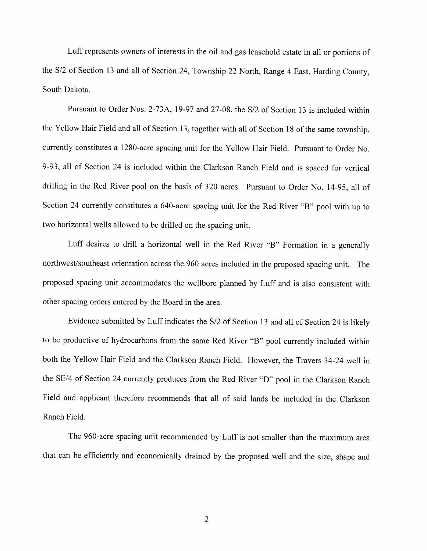Luff represents owners of interests in the oil and gas leasehold estate in all or portions of the S/2 of Section 13 and all of Section 24, Township 22 North, Range 4 East, Harding County, South Dakota.

Pursuant to Order Nos. 2-73A, 19-97 and 27-08, the S/2 of Section 13 is included within the Yellow Hair Field and all of Section 13, together with all of Section 18 of the same township, currently constitutes a 1280-acre spacing unit for the Yellow Hair Field. Pursuant to Order No. 9-93, all of Section 24 is included within the Clarkson Ranch Field and is spaced for vertical drilling in the Red River pool on the basis of 320 acres. Pursuant to Order No. 14-95, all of Section 24 currently constitutes a 640-acre spacing unit for the Red River "B" pool with up to two horizontal wells allowed to be drilled on the spacing unit.

Luff desires to drill a horizontal well in the Red River "B" Formation in a generally northwest/southeast orientation across the 960 acres included in the proposed spacing unit. The proposed spacing unit accommodates the wellbore planned by Luff and is also consistent with other spacing orders entered by the Board in the area.

Evidence submitted by Luff indicates the S/2 of Section 13 and all of Section 24 is likely to be productive of hydrocarbons from the same Red River "B" pool currently included within both the Yellow Hair Field and the Clarkson Ranch Field. However, the Travers 34-24 well in the SE/4 of Section 24 currently produces from the Red River "D" pool in the Clarkson Ranch Field and applicant therefore recommends that all of said lands be included in the Clarkson Ranch Field.

The 960-acre spacing unit recommended by Luff is not smaller than the maximum area that can be efficiently and economically drained by the proposed well and the size, shape and